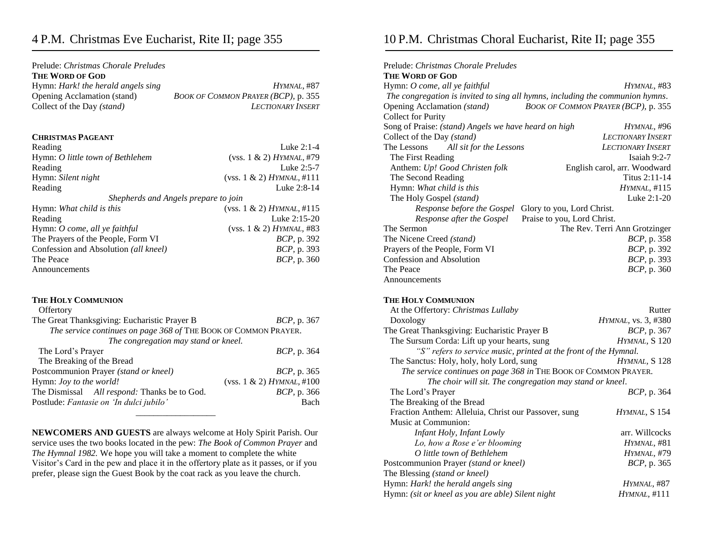## 4 P.M. Christmas Eve Eucharist, Rite II; page 355

| HYMNAL, #87                         |
|-------------------------------------|
| BOOK OF COMMON PRAYER (BCP), p. 355 |
| <b>LECTIONARY INSERT</b>            |
|                                     |

#### **CHRISTMAS PAGEANT**

| Reading                               | Luke $2:1-4$                  |  |
|---------------------------------------|-------------------------------|--|
| Hymn: O little town of Bethlehem      | (vss. 1 & 2) HYMMAL, #79      |  |
| Reading                               | Luke 2:5-7                    |  |
| Hymn: Silent night                    | (vss. 1 & 2) HYMNAL, #111     |  |
| Reading                               | Luke 2:8-14                   |  |
| Shepherds and Angels prepare to join  |                               |  |
| Hymn: What child is this              | (vss. $1 \& 2$ ) HYMNAL, #115 |  |
| Reading                               | Luke 2:15-20                  |  |
| Hymn: O come, all ye faithful         | (vss. 1 & 2) HYMMAL, #83      |  |
| The Prayers of the People, Form VI    | <i>BCP</i> , p. 392           |  |
| Confession and Absolution (all kneel) | <i>BCP</i> , p. 393           |  |

The Peace *BCP*, p. 360

### Announcements

#### **THE HOLY COMMUNION**

| Offertory                                                       |                           |
|-----------------------------------------------------------------|---------------------------|
| The Great Thanksgiving: Eucharistic Prayer B                    | <i>BCP</i> , p. 367       |
| The service continues on page 368 of THE BOOK OF COMMON PRAYER. |                           |
| The congregation may stand or kneel.                            |                           |
| The Lord's Prayer                                               | <i>BCP</i> , p. 364       |
| The Breaking of the Bread                                       |                           |
| Postcommunion Prayer (stand or kneel)                           | <i>BCP</i> , p. 365       |
| Hymn: Joy to the world!                                         | (vss. 1 & 2) HYMNAL, #100 |
| The Dismissal All respond: Thanks be to God.                    | <i>BCP</i> , p. 366       |
| Postlude: Fantasie on 'In dulci jubilo'                         | Bach                      |
|                                                                 |                           |

**NEWCOMERS AND GUESTS** are always welcome at Holy Spirit Parish. Our service uses the two books located in the pew: *The Book of Common Prayer* and *The Hymnal 1982.* We hope you will take a moment to complete the white Visitor's Card in the pew and place it in the offertory plate as it passes, or if you prefer, please sign the Guest Book by the coat rack as you leave the church.

# 10 P.M. Christmas Choral Eucharist, Rite II; page 355

| Prelude: Christmas Chorale Preludes                                           |                                     |  |  |  |
|-------------------------------------------------------------------------------|-------------------------------------|--|--|--|
| <b>THE WORD OF GOD</b>                                                        |                                     |  |  |  |
| Hymn: O come, all ye faithful                                                 | HYMNAL, #83                         |  |  |  |
| The congregation is invited to sing all hymns, including the communion hymns. |                                     |  |  |  |
| Opening Acclamation (stand)                                                   | BOOK OF COMMON PRAYER (BCP), p. 355 |  |  |  |
| <b>Collect for Purity</b>                                                     |                                     |  |  |  |
| Song of Praise: (stand) Angels we have heard on high                          | HYMNAL, #96                         |  |  |  |
| Collect of the Day (stand)                                                    | <b>LECTIONARY INSERT</b>            |  |  |  |
| The Lessons All sit for the Lessons                                           | <b>LECTIONARY INSERT</b>            |  |  |  |
| The First Reading                                                             | Isaiah $9:2-7$                      |  |  |  |
| Anthem: Up! Good Christen folk                                                | English carol, arr. Woodward        |  |  |  |
| The Second Reading                                                            | Titus 2:11-14                       |  |  |  |
| Hymn: What child is this                                                      | <i>HYMNAL</i> , #115                |  |  |  |
| The Holy Gospel (stand)                                                       | Luke 2:1-20                         |  |  |  |
| Response before the Gospel                                                    | Glory to you, Lord Christ.          |  |  |  |
| Response after the Gospel                                                     | Praise to you, Lord Christ.         |  |  |  |
| The Sermon                                                                    | The Rev. Terri Ann Grotzinger       |  |  |  |
| The Nicene Creed (stand)                                                      | <i>BCP</i> , p. 358                 |  |  |  |
| Prayers of the People, Form VI                                                | <i>BCP</i> , p. 392                 |  |  |  |
| Confession and Absolution                                                     | <i>BCP</i> , p. 393                 |  |  |  |
| The Peace                                                                     | <i>BCP</i> , p. 360                 |  |  |  |
| Announcements                                                                 |                                     |  |  |  |
|                                                                               |                                     |  |  |  |
|                                                                               |                                     |  |  |  |

#### **THE HOLY COMMUNION**

| At the Offertory: Christmas Lullaby                              | Rutter                      |  |  |  |
|------------------------------------------------------------------|-----------------------------|--|--|--|
| Doxology                                                         | <i>HYMNAL</i> , vs. 3, #380 |  |  |  |
| The Great Thanksgiving: Eucharistic Prayer B                     | <i>BCP</i> , p. 367         |  |  |  |
| The Sursum Corda: Lift up your hearts, sung                      | HYMNAL, S <sub>120</sub>    |  |  |  |
| "S" refers to service music, printed at the front of the Hymnal. |                             |  |  |  |
| The Sanctus: Holy, holy, holy Lord, sung                         | HYMNAL, S 128               |  |  |  |
| The service continues on page 368 in THE BOOK OF COMMON PRAYER.  |                             |  |  |  |
| The choir will sit. The congregation may stand or kneel.         |                             |  |  |  |
| The Lord's Prayer                                                | <i>BCP</i> , p. 364         |  |  |  |
| The Breaking of the Bread                                        |                             |  |  |  |
| Fraction Anthem: Alleluia, Christ our Passover, sung             | HYMNAL, S 154               |  |  |  |
| Music at Communion:                                              |                             |  |  |  |
| Infant Holy, Infant Lowly                                        | arr. Willcocks              |  |  |  |
| Lo, how a Rose e'er blooming                                     | HYMNAL, #81                 |  |  |  |
| O little town of Bethlehem                                       | HYMNAL, #79                 |  |  |  |
| Postcommunion Prayer (stand or kneel)                            | <i>BCP</i> , p. 365         |  |  |  |
| The Blessing (stand or kneel)                                    |                             |  |  |  |
| Hymn: Hark! the herald angels sing                               | Hymnal, #87                 |  |  |  |
| Hymn: (sit or kneel as you are able) Silent night                | <i>HYMNAL</i> , #111        |  |  |  |